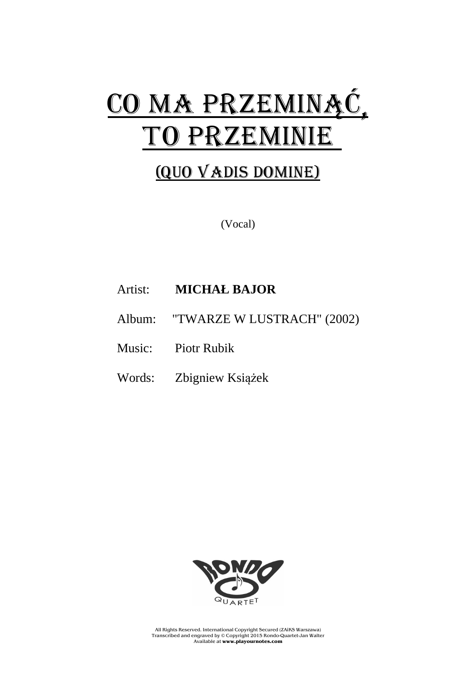## CO MA PRZEMINĄČ, TO PRZEMINIE

## (QUO vADIS DOMINE)

(Vocal)

## Artist: **MICHAŁ BAJOR**

Album: "TWARZE W LUSTRACH" (2002)

Music: Piotr Rubik

Words: Zbigniew Książek



All Rights Reserved. International Copyright Secured (ZAiKS Warszawa) Transcribed and engraved by © Copyright 2015 Rondo-Quartet-Jan Walter Available at **www.playournotes.com**